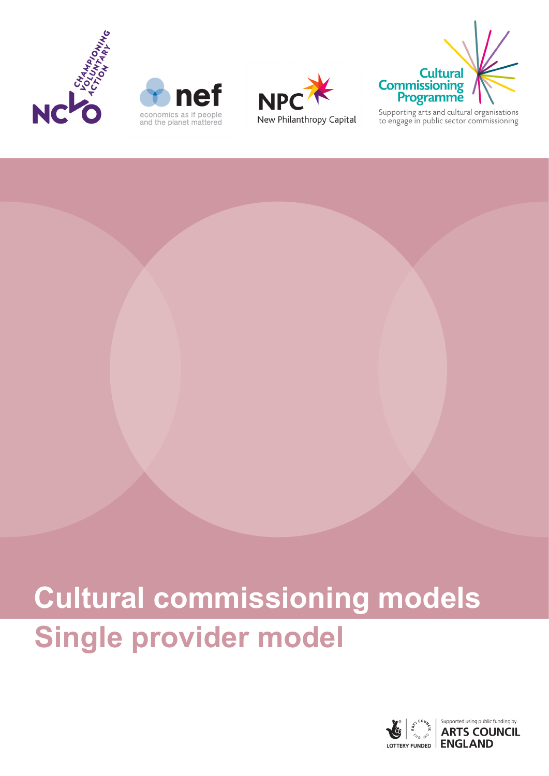







Supporting arts and cultural organisations<br>to engage in public sector commissioning

# **Single provider model Cultural commissioning models**

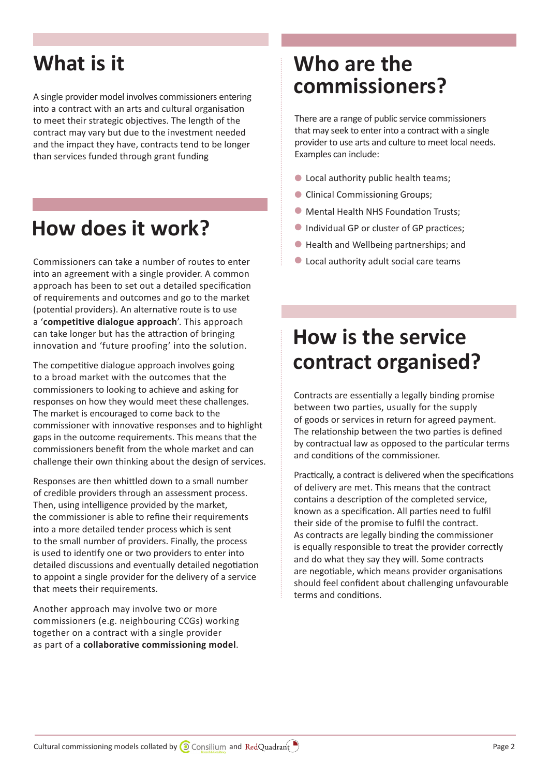A single provider model involves commissioners entering into a contract with an arts and cultural organisation to meet their strategic objectives. The length of the contract may vary but due to the investment needed and the impact they have, contracts tend to be longer than services funded through grant funding

# **How does it work?**

Commissioners can take a number of routes to enter into an agreement with a single provider. A common approach has been to set out a detailed specification of requirements and outcomes and go to the market (potential providers). An alternative route is to use a '**[competitive dialogue approach](http://www.gov.scot/Topics/Government/Procurement/Selling/SupplierJourney/bidding/bidding-routes-2and3/contract-award-procedures/competitive-dialogue-proc)**'. This approach can take longer but has the attraction of bringing innovation and 'future proofing' into the solution.

The competitive dialogue approach involves going to a broad market with the outcomes that the commissioners to looking to achieve and asking for responses on how they would meet these challenges. The market is encouraged to come back to the commissioner with innovative responses and to highlight gaps in the outcome requirements. This means that the commissioners benefit from the whole market and can challenge their own thinking about the design of services.

Responses are then whittled down to a small number of credible providers through an assessment process. Then, using intelligence provided by the market, the commissioner is able to refine their requirements into a more detailed tender process which is sent to the small number of providers. Finally, the process is used to identify one or two providers to enter into detailed discussions and eventually detailed negotiation to appoint a single provider for the delivery of a service that meets their requirements.

Another approach may involve two or more commissioners (e.g. neighbouring CCGs) working together on a contract with a single provider as part of a **[collaborative commissioning model](https://www.england.nhs.uk/wp-content/uploads/2012/03/collab-commiss-frame.pdf)**.

#### **What is it Who are the commissioners?**

There are a range of public service commissioners that may seek to enter into a contract with a single provider to use arts and culture to meet local needs. Examples can include:

- **C** Local authority public health teams;
- **Clinical Commissioning Groups;**
- **Mental Health NHS Foundation Trusts;**
- **Individual GP or cluster of GP practices;**
- Health and Wellbeing partnerships; and l
- Local authority adult social care teams l

# **How is the service contract organised?**

Contracts are essentially a legally binding promise between two parties, usually for the supply of goods or services in return for agreed payment. The relationship between the two parties is defined by contractual law as opposed to the particular terms and conditions of the commissioner.

Practically, a contract is delivered when the specifications of delivery are met. This means that the contract contains a description of the completed service, known as a specification. All parties need to fulfil their side of the promise to fulfil the contract. As contracts are legally binding the commissioner is equally responsible to treat the provider correctly and do what they say they will. Some contracts are negotiable, which means provider organisations should feel confident about challenging unfavourable terms and conditions.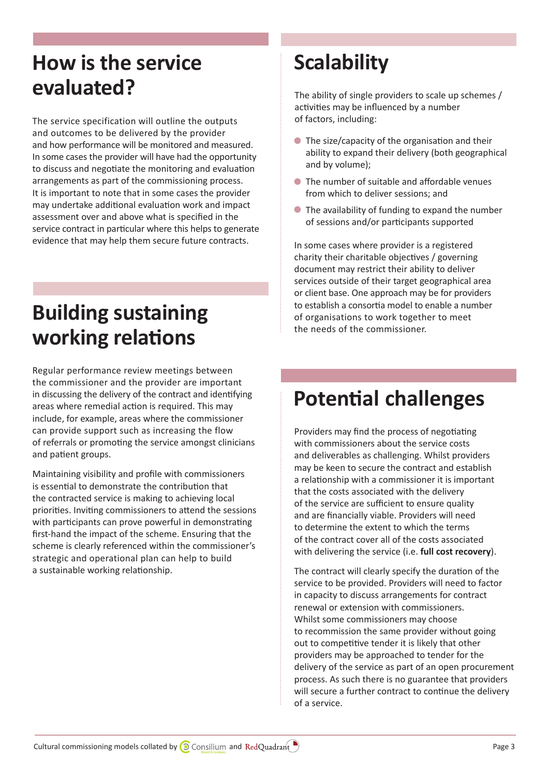# **How is the service evaluated?**

The service specification will outline the outputs and outcomes to be delivered by the provider and how performance will be monitored and measured. In some cases the provider will have had the opportunity to discuss and negotiate the monitoring and evaluation arrangements as part of the commissioning process. It is important to note that in some cases the provider may undertake additional evaluation work and impact assessment over and above what is specified in the service contract in particular where this helps to generate evidence that may help them secure future contracts.

# **Building sustaining working relations**

Regular performance review meetings between the commissioner and the provider are important in discussing the delivery of the contract and identifying areas where remedial action is required. This may include, for example, areas where the commissioner can provide support such as increasing the flow of referrals or promoting the service amongst clinicians and patient groups.

Maintaining visibility and profile with commissioners is essential to demonstrate the contribution that the contracted service is making to achieving local priorities. Inviting commissioners to attend the sessions with participants can prove powerful in demonstrating first-hand the impact of the scheme. Ensuring that the scheme is clearly referenced within the commissioner's strategic and operational plan can help to build a sustainable working relationship.

# **Scalability**

The ability of single providers to scale up schemes / activities may be influenced by a number of factors, including:

- **•** The size/capacity of the organisation and their ability to expand their delivery (both geographical and by volume);
- The number of suitable and affordable venues from which to deliver sessions; and
- The availability of funding to expand the number l of sessions and/or participants supported

In some cases where provider is a registered charity their charitable objectives / governing document may restrict their ability to deliver services outside of their target geographical area or client base. One approach may be for providers to establish a consortia model to enable a number of organisations to work together to meet the needs of the commissioner.

# **Potential challenges**

Providers may find the process of negotiating with commissioners about the service costs and deliverables as challenging. Whilst providers may be keen to secure the contract and establish a relationship with a commissioner it is important that the costs associated with the delivery of the service are sufficient to ensure quality and are financially viable. Providers will need to determine the extent to which the terms of the contract cover all of the costs associated with delivering the service (i.e. **[full cost recovery](https://www.biglotteryfund.org.uk/funding/funding-guidance/applying-for-funding/full-cost-recovery)**).

The contract will clearly specify the duration of the service to be provided. Providers will need to factor in capacity to discuss arrangements for contract renewal or extension with commissioners. Whilst some commissioners may choose to recommission the same provider without going out to competitive tender it is likely that other providers may be approached to tender for the delivery of the service as part of an open procurement process. As such there is no guarantee that providers will secure a further contract to continue the delivery of a service.